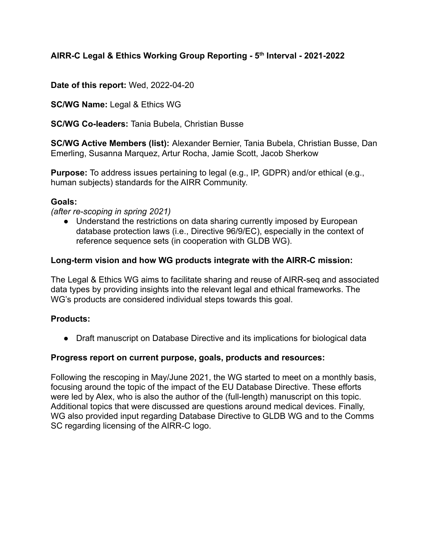## **AIRR-C Legal & Ethics Working Group Reporting - 5th Interval - 2021-2022**

**Date of this report:** Wed, 2022-04-20

**SC/WG Name:** Legal & Ethics WG

**SC/WG Co-leaders:** Tania Bubela, Christian Busse

**SC/WG Active Members (list):** Alexander Bernier, Tania Bubela, Christian Busse, Dan Emerling, Susanna Marquez, Artur Rocha, Jamie Scott, Jacob Sherkow

**Purpose:** To address issues pertaining to legal (e.g., IP, GDPR) and/or ethical (e.g., human subjects) standards for the AIRR Community.

#### **Goals:**

*(after re-scoping in spring 2021)*

• Understand the restrictions on data sharing currently imposed by European database protection laws (i.e., Directive 96/9/EC), especially in the context of reference sequence sets (in cooperation with GLDB WG).

#### **Long-term vision and how WG products integrate with the AIRR-C mission:**

The Legal & Ethics WG aims to facilitate sharing and reuse of AIRR-seq and associated data types by providing insights into the relevant legal and ethical frameworks. The WG's products are considered individual steps towards this goal.

#### **Products:**

● Draft manuscript on Database Directive and its implications for biological data

#### **Progress report on current purpose, goals, products and resources:**

Following the rescoping in May/June 2021, the WG started to meet on a monthly basis, focusing around the topic of the impact of the EU Database Directive. These efforts were led by Alex, who is also the author of the (full-length) manuscript on this topic. Additional topics that were discussed are questions around medical devices. Finally, WG also provided input regarding Database Directive to GLDB WG and to the Comms SC regarding licensing of the AIRR-C logo.